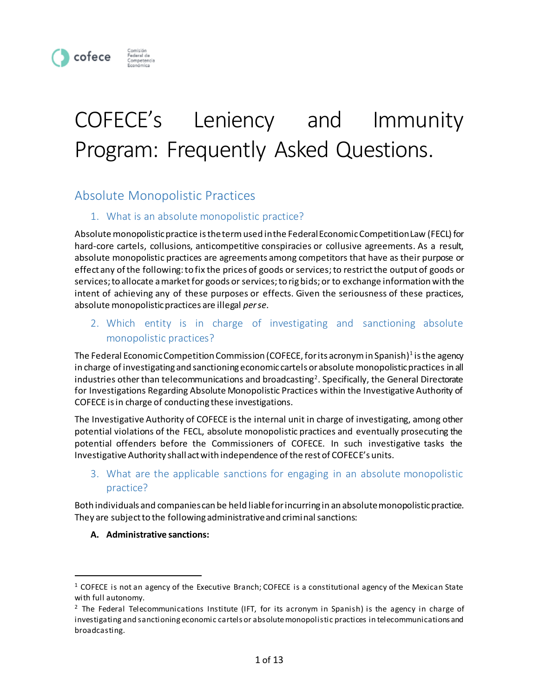

# COFECE's Leniency and Immunity Program: Frequently Asked Questions.

# Absolute Monopolistic Practices

# 1. What is an absolute monopolistic practice?

Absolute monopolistic practice is the term used in the Federal Economic Competition Law (FECL) for hard-core cartels, collusions, anticompetitive conspiracies or collusive agreements. As a result, absolute monopolistic practices are agreements among competitors that have as their purpose or effect any of the following: to fix the prices of goods or services; to restrict the output of goods or services; to allocate a market for goods or services; to rig bids; or to exchange information with the intent of achieving any of these purposes or effects. Given the seriousness of these practices, absolute monopolistic practices are illegal *per se*.

# 2. Which entity is in charge of investigating and sanctioning absolute monopolistic practices?

The Federal Economic Competition Commission (COFECE, for its acronym in Spanish) $^{\rm 1}$  is the agency in charge of investigating and sanctioning economic cartels or absolute monopolistic practices in all industries other than telecommunications and broadcasting<sup>2</sup>. Specifically, the General Directorate for Investigations Regarding Absolute Monopolistic Practices within the Investigative Authority of COFECE is in charge of conducting these investigations.

The Investigative Authority of COFECE is the internal unit in charge of investigating, among other potential violations of the FECL, absolute monopolistic practices and eventually prosecuting the potential offenders before the Commissioners of COFECE. In such investigative tasks the Investigative Authority shall act with independence of the rest of COFECE's units.

3. What are the applicable sanctions for engaging in an absolute monopolistic practice?

Both individuals and companiescan be held liable for incurring in an absolute monopolistic practice. They are subject to the following administrative and criminal sanctions:

#### **A. Administrative sanctions:**

 $\overline{a}$ 

 $1$  COFECE is not an agency of the Executive Branch; COFECE is a constitutional agency of the Mexican State with full autonomy.

 $2$  The Federal Telecommunications Institute (IFT, for its acronym in Spanish) is the agency in charge of investigating and sanctioning economic cartels or absolute monopolistic practices in telecommunications and broadcasting.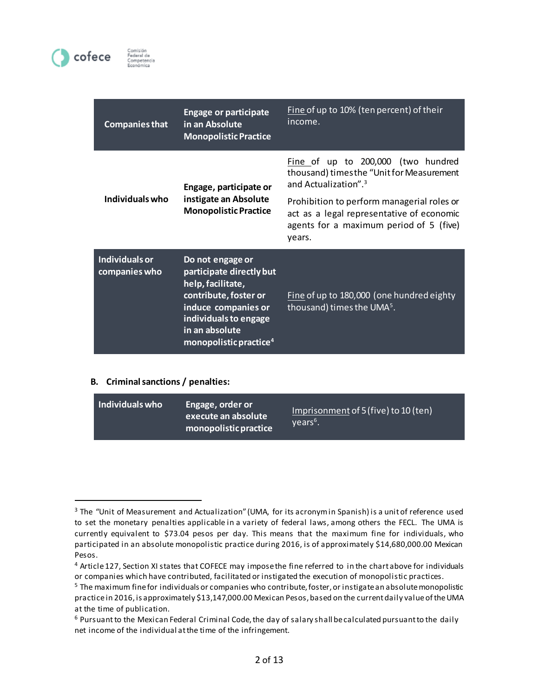

| <b>Companies that</b>           | <b>Engage or participate</b><br>in an Absolute<br><b>Monopolistic Practice</b>                                                                                                                     | Fine of up to 10% (ten percent) of their<br>income.                                                                                          |
|---------------------------------|----------------------------------------------------------------------------------------------------------------------------------------------------------------------------------------------------|----------------------------------------------------------------------------------------------------------------------------------------------|
| Individuals who                 | Engage, participate or<br>instigate an Absolute<br><b>Monopolistic Practice</b>                                                                                                                    | Fine of up to 200,000 (two hundred<br>thousand) times the "Unit for Measurement<br>and Actualization". <sup>3</sup>                          |
|                                 |                                                                                                                                                                                                    | Prohibition to perform managerial roles or<br>act as a legal representative of economic<br>agents for a maximum period of 5 (five)<br>years. |
| Individuals or<br>companies who | Do not engage or<br>participate directly but<br>help, facilitate,<br>contribute, foster or<br>induce companies or<br>individuals to engage<br>in an absolute<br>monopolistic practice <sup>4</sup> | Fine of up to 180,000 (one hundred eighty<br>thousand) times the UMA <sup>5</sup> .                                                          |

#### **B. Criminal sanctions / penalties:**

 $\overline{a}$ 

| Individuals who<br>Engage, order or<br>execute an absolute<br>monopolistic practice | Imprisonment of 5 (five) to 10 (ten)<br>$Vears6$ . |
|-------------------------------------------------------------------------------------|----------------------------------------------------|
|-------------------------------------------------------------------------------------|----------------------------------------------------|

<sup>&</sup>lt;sup>3</sup> The "Unit of Measurement and Actualization" (UMA, for its acronym in Spanish) is a unit of reference used to set the monetary penalties applicable in a variety of federal laws, among others the FECL. The UMA is currently equivalent to \$73.04 pesos per day. This means that the maximum fine for individuals, who participated in an absolute monopolistic practice during 2016, is of approximately \$14,680,000.00 Mexican Pesos.

<sup>4</sup> Article 127, Section XI states that COFECE may impose the fine referred to in the chart above for individuals or companies which have contributed, facilitated or instigated the execution of monopolistic practices.

<sup>5</sup> The maximum fine for individuals or companies who contribute, foster, or instigate an absolute monopolistic practice in 2016, is approximately \$13,147,000.00 Mexican Pesos, based on the current daily value of the UMA at the time of publication.

<sup>6</sup> Pursuant to the Mexican Federal Criminal Code, the day of salary shall be calculated pursuant to the daily net income of the individual at the time of the infringement.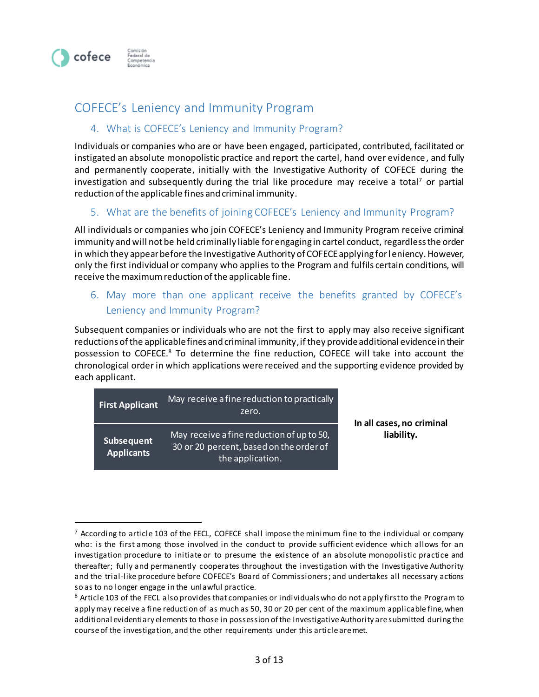

 $\overline{a}$ 

# COFECE's Leniency and Immunity Program

## 4. What is COFECE's Leniency and Immunity Program?

Individuals or companies who are or have been engaged, participated, contributed, facilitated or instigated an absolute monopolistic practice and report the cartel, hand over evidence, and fully and permanently cooperate, initially with the Investigative Authority of COFECE during the investigation and subsequently during the trial like procedure may receive a total<sup>7</sup> or partial reduction of the applicable fines and criminal immunity.

#### 5. What are the benefits of joining COFECE's Leniency and Immunity Program?

All individuals or companies who join COFECE's Leniency and Immunity Program receive criminal immunity and will not be held criminally liable for engaging in cartel conduct, regardless the order in which they appear before the Investigative Authority of COFECE applying for leniency. However, only the first individual or company who applies to the Program and fulfils certain conditions, will receive the maximum reduction of the applicable fine.

# 6. May more than one applicant receive the benefits granted by COFECE's Leniency and Immunity Program?

Subsequent companies or individuals who are not the first to apply may also receive significant reductions of the applicable fines and criminal immunity, if they provide additional evidence in their possession to COFECE.<sup>8</sup> To determine the fine reduction, COFECE will take into account the chronological order in which applications were received and the supporting evidence provided by each applicant.

| <b>First Applicant</b>          | May receive a fine reduction to practically<br>zero.                                                     | In all cases, no criminal |
|---------------------------------|----------------------------------------------------------------------------------------------------------|---------------------------|
| Subsequent<br><b>Applicants</b> | May receive a fine reduction of up to 50,<br>30 or 20 percent, based on the order of<br>the application. | liability.                |

 $<sup>7</sup>$  According to article 103 of the FECL, COFECE shall impose the minimum fine to the individual or company</sup> who: is the first among those involved in the conduct to provide sufficient evidence which allows for an investigation procedure to initiate or to presume the existence of an absolute monopolistic practice and thereafter; fully and permanently cooperates throughout the investigation with the Investigative Authority and the trial-like procedure before COFECE's Board of Commissioners; and undertakes all necessary actions so as to no longer engage in the unlawful practice.

<sup>&</sup>lt;sup>8</sup> Article 103 of the FECL also provides that companies or individuals who do not apply first to the Program to apply may receive a fine reduction of as much as 50, 30 or 20 per cent of the maximum applicable fine, when additional evidentiary elements to those in possession of the Investigative Authority are submitted during the course of the investigation, and the other requirements under this article are met.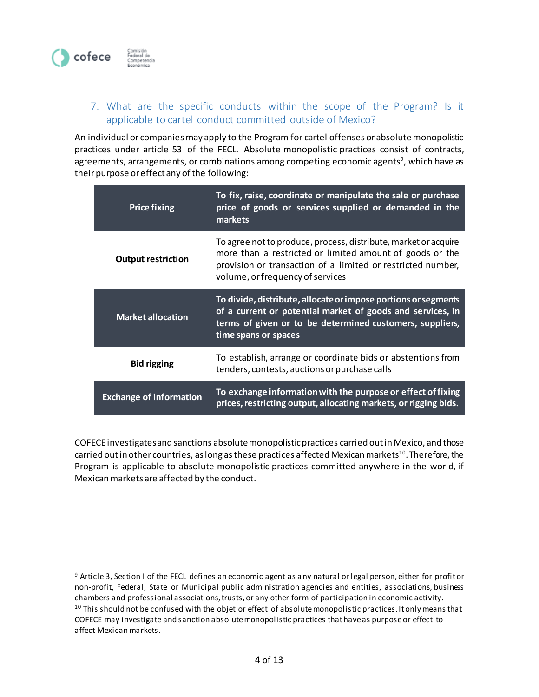

 $\overline{a}$ 

# 7. What are the specific conducts within the scope of the Program? Is it applicable to cartel conduct committed outside of Mexico?

An individual or companies may apply to the Program for cartel offenses or absolute monopolistic practices under article 53 of the FECL. Absolute monopolistic practices consist of contracts, agreements, arrangements, or combinations among competing economic agents<sup>9</sup>, which have as their purpose or effect any of the following:

| <b>Price fixing</b>            | To fix, raise, coordinate or manipulate the sale or purchase<br>price of goods or services supplied or demanded in the<br>markets                                                                                              |
|--------------------------------|--------------------------------------------------------------------------------------------------------------------------------------------------------------------------------------------------------------------------------|
| <b>Output restriction</b>      | To agree not to produce, process, distribute, market or acquire<br>more than a restricted or limited amount of goods or the<br>provision or transaction of a limited or restricted number,<br>volume, or frequency of services |
| <b>Market allocation</b>       | To divide, distribute, allocate or impose portions or segments<br>of a current or potential market of goods and services, in<br>terms of given or to be determined customers, suppliers,<br>time spans or spaces               |
| <b>Bid rigging</b>             | To establish, arrange or coordinate bids or abstentions from<br>tenders, contests, auctions or purchase calls                                                                                                                  |
| <b>Exchange of information</b> | To exchange information with the purpose or effect of fixing<br>prices, restricting output, allocating markets, or rigging bids.                                                                                               |

COFECE investigates and sanctions absolute monopolistic practices carried out in Mexico, and those carried out in other countries, as long as these practices affected Mexican markets<sup>10</sup>. Therefore, the Program is applicable to absolute monopolistic practices committed anywhere in the world, if Mexican markets are affected by the conduct.

<sup>&</sup>lt;sup>9</sup> Article 3, Section I of the FECL defines an economic agent as any natural or legal person, either for profit or non-profit, Federal, State or Municipal public administration agencies and entities, associations, business chambers and professional associations, trusts, or any other form of participation in economic activity. <sup>10</sup> This should not be confused with the objet or effect of absolute monopolistic practices. It only means that COFECE may investigate and sanction absolute monopolistic practices that have as purpose or effect to affect Mexican markets.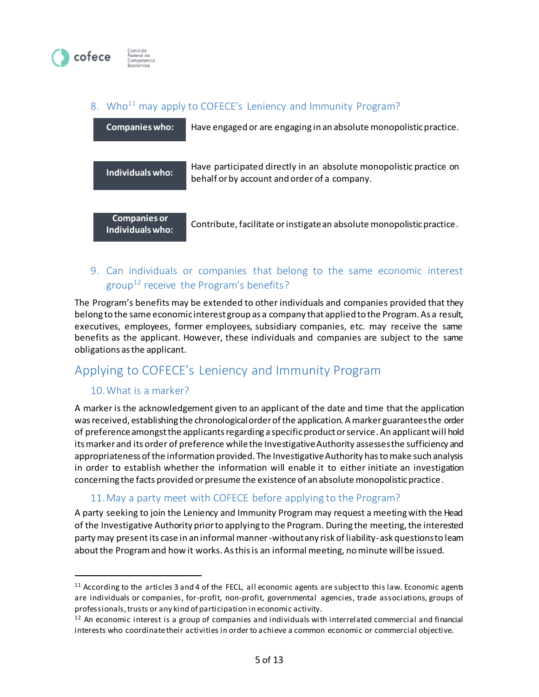

# 8. Who<sup>11</sup> may apply to COFECE's Leniency and Immunity Program?

| <b>Companies who:</b>                   | Have engaged or are engaging in an absolute monopolistic practice.                                                 |
|-----------------------------------------|--------------------------------------------------------------------------------------------------------------------|
| Individuals who:                        | Have participated directly in an absolute monopolistic practice on<br>behalf or by account and order of a company. |
| <b>Companies or</b><br>Individuals who: | Contribute, facilitate or instigate an absolute monopolistic practice.                                             |

# 9. Can individuals or companies that belong to the same economic interest group<sup>12</sup> receive the Program's benefits?

The Program's benefits may be extended to other individuals and companies provided that they belong to the same economic interest group as a company that applied to the Program. As a result, executives, employees, former employees, subsidiary companies, etc. may receive the same benefits as the applicant. However, these individuals and companies are subject to the same obligations as the applicant.

# Applying to COFECE's Leniency and Immunity Program

# 10.What is a marker?

 $\overline{a}$ 

A marker is the acknowledgement given to an applicant of the date and time that the application was received, establishing the chronological order of the application. A marker guarantees the order of preference amongst the applicants regarding a specific product or service. An applicant will hold its marker and its order of preference while the Investigative Authority assessesthe sufficiency and appropriateness of the information provided. The Investigative Authority has to make such analysis in order to establish whether the information will enable it to either initiate an investigation concerning the facts provided or presume the existence of an absolute monopolistic practice.

# 11.May a party meet with COFECE before applying to the Program?

A party seeking to join the Leniency and Immunity Program may request a meeting with the Head of the Investigative Authority prior to applying to the Program. During the meeting, the interested party may present its case in an informal manner -without any risk of liability-ask questions to learn about the Program and how it works. As this is an informal meeting, no minute will be issued.

 $11$  According to the articles 3 and 4 of the FECL, all economic agents are subject to this law. Economic agents are individuals or companies, for-profit, non-profit, governmental agencies, trade associations, groups of professionals, trusts or any kind of participation in economic activity.

<sup>&</sup>lt;sup>12</sup> An economic interest is a group of companies and individuals with interrelated commercial and financial interests who coordinate their activities in order to achieve a common economic or commercial objective.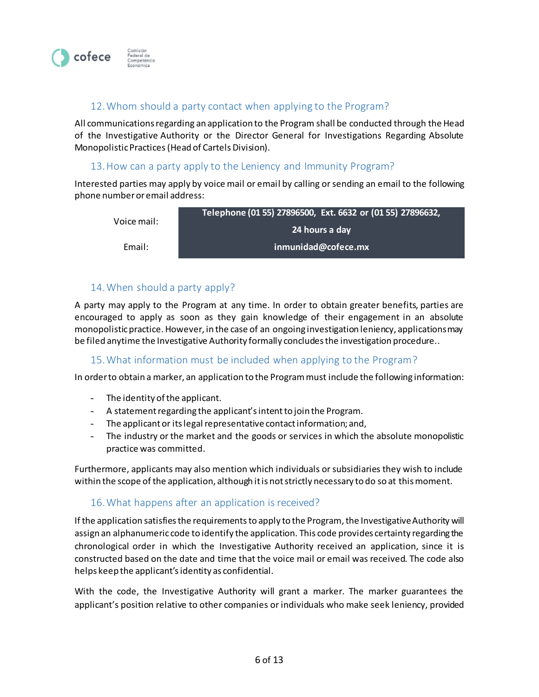

#### 12.Whom should a party contact when applying to the Program?

All communications regarding an application to the Program shall be conducted through the Head of the Investigative Authority or the Director General for Investigations Regarding Absolute Monopolistic Practices(Head of Cartels Division).

#### 13.How can a party apply to the Leniency and Immunity Program?

Interested parties may apply by voice mail or email by calling or sending an email to the following phone number or email address:

| Voice mail: | Telephone (01 55) 27896500, Ext. 6632 or (01 55) 27896632, |
|-------------|------------------------------------------------------------|
|             | 24 hours a day                                             |
| Email:      | inmunidad@cofece.mx                                        |

#### 14.When should a party apply?

A party may apply to the Program at any time. In order to obtain greater benefits, parties are encouraged to apply as soon as they gain knowledge of their engagement in an absolute monopolistic practice. However, in the case of an ongoing investigation leniency, applications may be filed anytime the Investigative Authority formally concludes the investigation procedure..

#### 15.What information must be included when applying to the Program?

In order to obtain a marker, an application to the Programmust include the following information:

- The identity of the applicant.
- A statement regarding the applicant's intent to join the Program.
- The applicant or its legal representative contact information; and,
- The industry or the market and the goods or services in which the absolute monopolistic practice was committed.

Furthermore, applicants may also mention which individuals or subsidiaries they wish to include within the scope of the application, although it is not strictly necessary to do so at this moment.

#### 16.What happens after an application is received?

If the application satisfies the requirements to apply to the Program, the Investigative Authority will assign an alphanumeric code to identify the application. This code provides certainty regarding the chronological order in which the Investigative Authority received an application, since it is constructed based on the date and time that the voice mail or email was received. The code also helps keep the applicant's identity as confidential.

With the code, the Investigative Authority will grant a marker. The marker guarantees the applicant's position relative to other companies or individuals who make seek leniency, provided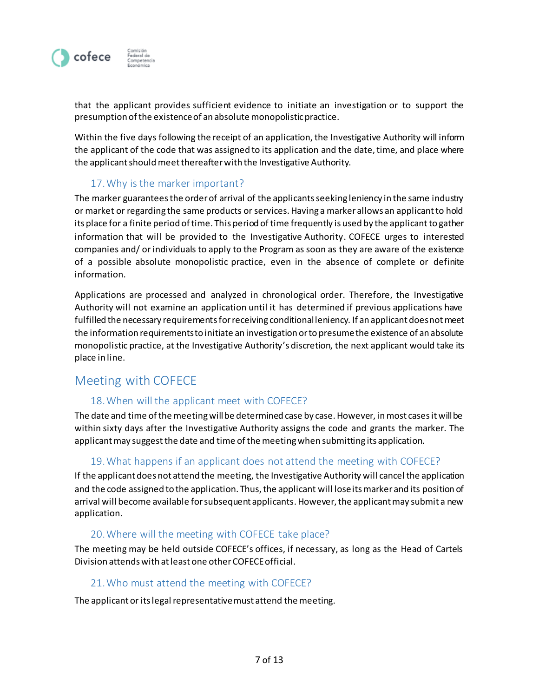

that the applicant provides sufficient evidence to initiate an investigation or to support the presumption of the existence of an absolute monopolistic practice.

Within the five days following the receipt of an application, the Investigative Authority will inform the applicant of the code that was assigned to its application and the date, time, and place where the applicant should meet thereafter with the Investigative Authority.

# 17.Why is the marker important?

The marker guarantees the order of arrival of the applicants seeking leniency in the same industry or market or regarding the same products or services. Having a marker allows an applicant to hold its place for a finite period of time. This period of time frequently is used by the applicant to gather information that will be provided to the Investigative Authority. COFECE urges to interested companies and/ or individuals to apply to the Program as soon as they are aware of the existence of a possible absolute monopolistic practice, even in the absence of complete or definite information.

Applications are processed and analyzed in chronological order. Therefore, the Investigative Authority will not examine an application until it has determined if previous applications have fulfilled the necessary requirements for receiving conditional leniency. If an applicant does not meet the information requirements to initiate an investigation or to presume the existence of an absolute monopolistic practice, at the Investigative Authority's discretion, the next applicant would take its place in line.

# Meeting with COFECE

#### 18.When will the applicant meet with COFECE?

The date and time of the meeting will be determined case by case. However, in most cases it will be within sixty days after the Investigative Authority assigns the code and grants the marker. The applicant may suggest the date and time of the meeting when submitting its application.

#### 19.What happens if an applicant does not attend the meeting with COFECE?

If the applicant does not attend the meeting, the Investigative Authority will cancel the application and the code assigned to the application. Thus, the applicant will lose its marker and its position of arrival will become available for subsequent applicants. However, the applicant may submit a new application.

#### 20.Where will the meeting with COFECE take place?

The meeting may be held outside COFECE's offices, if necessary, as long as the Head of Cartels Division attends with at least one other COFECE official.

#### 21.Who must attend the meeting with COFECE?

The applicant or its legal representative must attend the meeting.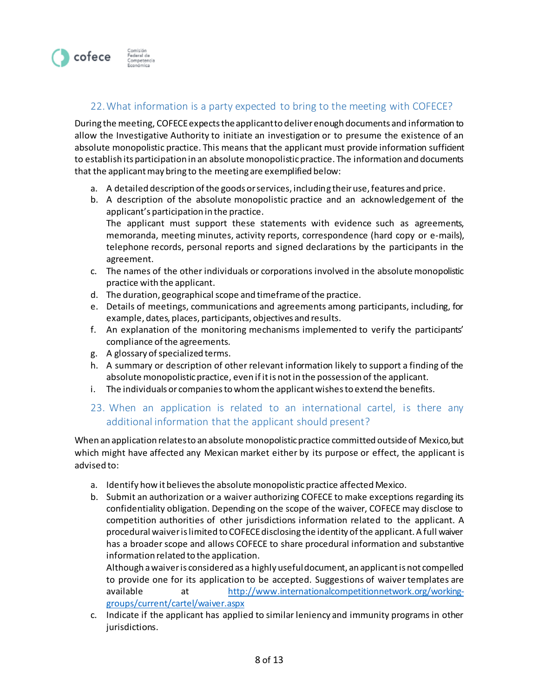

# 22.What information is a party expected to bring to the meeting with COFECE?

During the meeting, COFECE expects the applicant to deliver enough documents and information to allow the Investigative Authority to initiate an investigation or to presume the existence of an absolute monopolistic practice. This means that the applicant must provide information sufficient to establish its participation in an absolute monopolistic practice. The information and documents that the applicant may bring to the meeting are exemplified below:

- a. A detailed description of the goods or services, including their use, features and price.
- b. A description of the absolute monopolistic practice and an acknowledgement of the applicant's participation in the practice.

The applicant must support these statements with evidence such as agreements, memoranda, meeting minutes, activity reports, correspondence (hard copy or e-mails), telephone records, personal reports and signed declarations by the participants in the agreement.

- c. The names of the other individuals or corporations involved in the absolute monopolistic practice with the applicant.
- d. The duration, geographical scope and timeframeof the practice.
- e. Details of meetings, communications and agreements among participants, including, for example, dates, places, participants, objectives and results.
- f. An explanation of the monitoring mechanisms implemented to verify the participants' compliance of the agreements.
- g. A glossary of specialized terms.
- h. A summary or description of other relevant information likely to support a finding of the absolute monopolistic practice, even if it is not in the possession of the applicant.
- i. The individuals or companies to whom the applicantwishes to extend the benefits.

# 23. When an application is related to an international cartel, is there any additional information that the applicant should present?

When an application relates to an absolute monopolistic practice committed outside of Mexico, but which might have affected any Mexican market either by its purpose or effect, the applicant is advised to:

- a. Identify how itbelievesthe absolute monopolistic practice affected Mexico.
- b. Submit an authorization or a waiver authorizing COFECE to make exceptions regarding its confidentiality obligation. Depending on the scope of the waiver, COFECE may disclose to competition authorities of other jurisdictions information related to the applicant. A procedural waiver is limited to COFECE disclosing the identity of the applicant. A full waiver has a broader scope and allows COFECE to share procedural information and substantive information related to the application.

Although a waiver is considered as a highly useful document, an applicant is not compelled to provide one for its application to be accepted. Suggestions of waiver templates are available at [http://www.internationalcompetitionnetwork.org/working](http://www.internationalcompetitionnetwork.org/working-groups/current/cartel/waiver.aspx)[groups/current/cartel/waiver.aspx](http://www.internationalcompetitionnetwork.org/working-groups/current/cartel/waiver.aspx)

c. Indicate if the applicant has applied to similar leniency and immunity programs in other jurisdictions.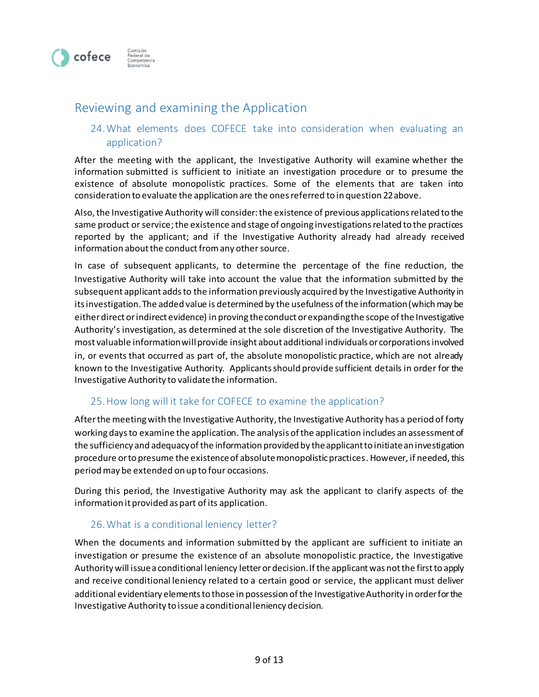

# Reviewing and examining the Application

# 24.What elements does COFECE take into consideration when evaluating an application?

After the meeting with the applicant, the Investigative Authority will examine whether the information submitted is sufficient to initiate an investigation procedure or to presume the existence of absolute monopolistic practices. Some of the elements that are taken into consideration to evaluate the application are the ones referred to in question 22 above.

Also, the Investigative Authority will consider:the existence of previous applications related to the same product or service; the existence and stage of ongoing investigations related to the practices reported by the applicant; and if the Investigative Authority already had already received information about the conduct from any other source.

In case of subsequent applicants, to determine the percentage of the fine reduction, the Investigative Authority will take into account the value that the information submitted by the subsequent applicant adds to the information previously acquired by the Investigative Authority in its investigation. The added value is determined by the usefulness of the information (which may be either direct or indirect evidence) in proving the conduct or expanding the scope of the Investigative Authority's investigation, as determined at the sole discretion of the Investigative Authority. The most valuable information will provide insight about additional individuals or corporations involved in, or events that occurred as part of, the absolute monopolistic practice, which are not already known to the Investigative Authority. Applicants should provide sufficient details in order for the Investigative Authority to validate the information.

# 25.How long will it take for COFECE to examine the application?

After the meeting with the Investigative Authority, the Investigative Authority has a period of forty working daysto examine the application. The analysis of the application includes an assessment of the sufficiency and adequacy of the information provided by the applicantto initiate an investigation procedure or to presume the existence of absolute monopolistic practices. However, if needed, this period may be extended on up to four occasions.

During this period, the Investigative Authority may ask the applicant to clarify aspects of the information it provided as part of its application.

#### 26.What is a conditional leniency letter?

When the documents and information submitted by the applicant are sufficient to initiate an investigation or presume the existence of an absolute monopolistic practice, the Investigative Authority will issue a conditional leniency letter or decision. If the applicant was not the first to apply and receive conditional leniency related to a certain good or service, the applicant must deliver additional evidentiary elements to those in possession of the Investigative Authority in order for the Investigative Authority to issue a conditional leniency decision.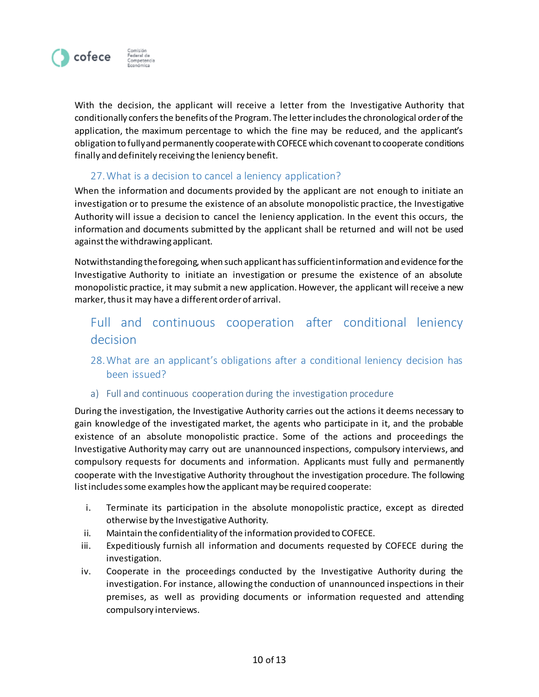

With the decision, the applicant will receive a letter from the Investigative Authority that conditionally confers the benefits of the Program. The letter includes the chronological order of the application, the maximum percentage to which the fine may be reduced, and the applicant's obligation to fully and permanently cooperate with COFECEwhich covenant to cooperate conditions finally and definitely receiving the leniency benefit.

# 27.What is a decision to cancel a leniency application?

When the information and documents provided by the applicant are not enough to initiate an investigation or to presume the existence of an absolute monopolistic practice, the Investigative Authority will issue a decision to cancel the leniency application. In the event this occurs, the information and documents submitted by the applicant shall be returned and will not be used against the withdrawing applicant.

Notwithstanding the foregoing, when such applicant has sufficient information and evidence for the Investigative Authority to initiate an investigation or presume the existence of an absolute monopolistic practice, it may submit a new application. However, the applicant will receive a new marker, thus it may have a different order of arrival.

# Full and continuous cooperation after conditional leniency decision

- 28.What are an applicant's obligations after a conditional leniency decision has been issued?
- a) Full and continuous cooperation during the investigation procedure

During the investigation, the Investigative Authority carries out the actions it deems necessary to gain knowledge of the investigated market, the agents who participate in it, and the probable existence of an absolute monopolistic practice. Some of the actions and proceedings the Investigative Authority may carry out are unannounced inspections, compulsory interviews, and compulsory requests for documents and information. Applicants must fully and permanently cooperate with the Investigative Authority throughout the investigation procedure. The following list includes some examples how the applicant may be required cooperate:

- i. Terminate its participation in the absolute monopolistic practice, except as directed otherwise by the Investigative Authority.
- ii. Maintain the confidentiality of the information provided to COFECE.
- iii. Expeditiously furnish all information and documents requested by COFECE during the investigation.
- iv. Cooperate in the proceedings conducted by the Investigative Authority during the investigation. For instance, allowing the conduction of unannounced inspections in their premises, as well as providing documents or information requested and attending compulsory interviews.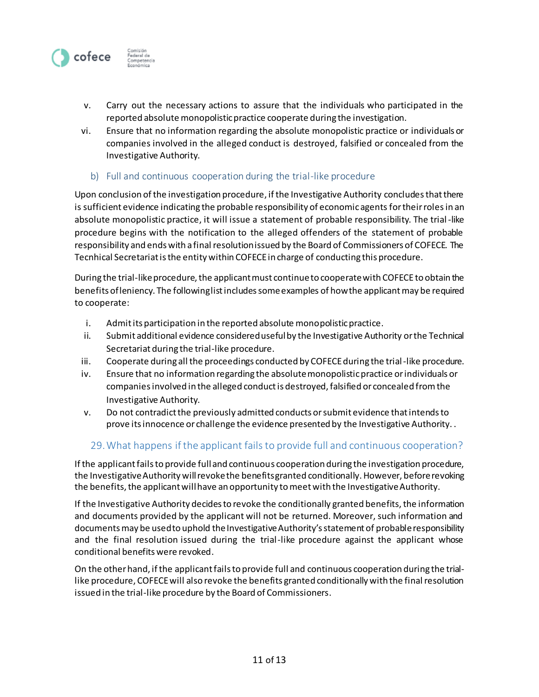

- v. Carry out the necessary actions to assure that the individuals who participated in the reported absolute monopolistic practice cooperate during the investigation.
- vi. Ensure that no information regarding the absolute monopolistic practice or individuals or companies involved in the alleged conduct is destroyed, falsified or concealed from the Investigative Authority.

#### b) Full and continuous cooperation during the trial-like procedure

Upon conclusion of the investigation procedure, if the Investigative Authority concludes that there is sufficient evidence indicating the probable responsibility of economic agents for their roles in an absolute monopolistic practice, it will issue a statement of probable responsibility. The trial-like procedure begins with the notification to the alleged offenders of the statement of probable responsibility and ends with a final resolution issued by the Board of Commissioners of COFECE. The Tecnhical Secretariat is the entity within COFECE in charge of conducting this procedure.

During the trial-like procedure, the applicant must continue to cooperate with COFECE to obtain the benefits of leniency. The following list includes some examples of how the applicant may be required to cooperate:

- i. Admit its participation in the reported absolute monopolistic practice.
- ii. Submit additional evidence considered useful by the Investigative Authority or the Technical Secretariat during the trial-like procedure.
- iii. Cooperate during all the proceedings conducted by COFECE during the trial-like procedure.
- iv. Ensure that no information regarding the absolute monopolistic practice or individuals or companies involved in the alleged conduct is destroyed, falsified or concealed from the Investigative Authority.
- v. Do not contradict the previously admitted conducts orsubmit evidence that intends to prove its innocence or challenge the evidence presented by the Investigative Authority. .

# 29.What happens if the applicant fails to provide full and continuous cooperation?

If the applicant fails to provide full and continuous cooperation during the investigation procedure, the Investigative Authority will revoke the benefits granted conditionally. However, before revoking the benefits, the applicant will have an opportunity to meet with the Investigative Authority.

If the Investigative Authority decides to revoke the conditionally granted benefits, the information and documents provided by the applicant will not be returned. Moreover, such information and documents may be used to uphold the Investigative Authority's statement of probable responsibility and the final resolution issued during the trial-like procedure against the applicant whose conditional benefits were revoked.

On the other hand, if the applicant fails to provide full and continuous cooperation during the triallike procedure, COFECE will also revoke the benefits granted conditionally with the final resolution issued in the trial-like procedure by the Board of Commissioners.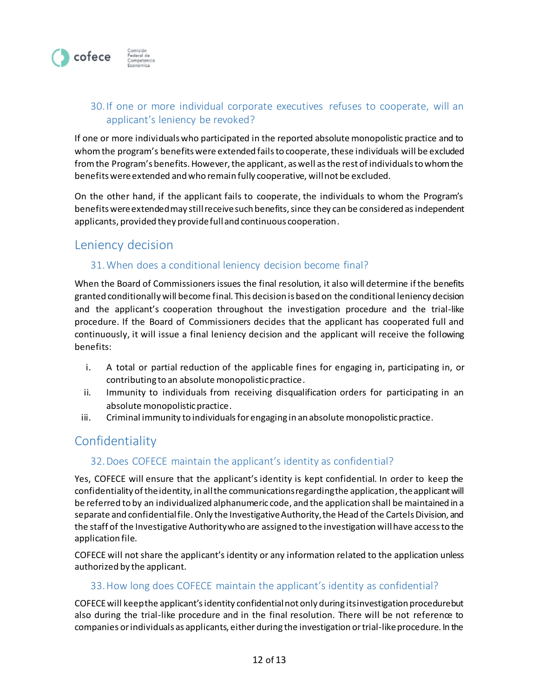

# 30.If one or more individual corporate executives refuses to cooperate, will an applicant's leniency be revoked?

If one or more individualswho participated in the reported absolute monopolistic practice and to whom the program's benefits were extended fails to cooperate, these individuals will be excluded from the Program's benefits. However, the applicant, as well as the rest of individuals to whom the benefits were extended and who remain fully cooperative, will not be excluded.

On the other hand, if the applicant fails to cooperate, the individuals to whom the Program's benefits were extended may still receive such benefits, since they can be considered as independent applicants, provided they provide full and continuous cooperation.

# Leniency decision

# 31.When does a conditional leniency decision become final?

When the Board of Commissioners issues the final resolution, it also will determine if the benefits granted conditionally will become final. This decision is based on the conditional leniency decision and the applicant's cooperation throughout the investigation procedure and the trial-like procedure. If the Board of Commissioners decides that the applicant has cooperated full and continuously, it will issue a final leniency decision and the applicant will receive the following benefits:

- i. A total or partial reduction of the applicable fines for engaging in, participating in, or contributing to an absolute monopolistic practice.
- ii. Immunity to individuals from receiving disqualification orders for participating in an absolute monopolistic practice.
- iii. Criminal immunity to individuals for engaging in an absolute monopolistic practice.

# **Confidentiality**

# 32.Does COFECE maintain the applicant's identity as confidential?

Yes, COFECE will ensure that the applicant's identity is kept confidential. In order to keep the confidentiality of the identity, in all the communications regarding the application, the applicant will be referred to by an individualized alphanumeric code, and the application shall be maintained in a separate and confidential file. Only the Investigative Authority, the Head of the Cartels Division, and the staff of the Investigative Authority who are assigned to the investigation will have access to the application file.

COFECE will not share the applicant's identity or any information related to the application unless authorized by the applicant.

# 33.How long does COFECE maintain the applicant's identity as confidential?

COFECE will keep the applicant'sidentity confidential not only during its investigation procedure but also during the trial-like procedure and in the final resolution. There will be not reference to companies or individuals as applicants, either during the investigation or trial-like procedure. In the